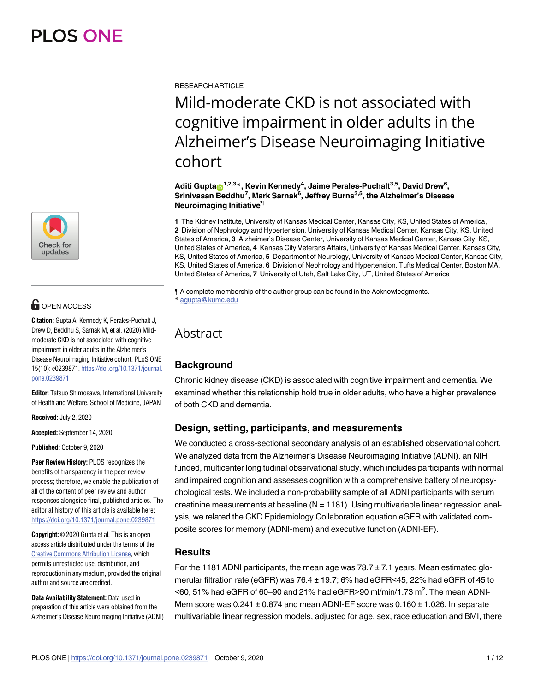

# **OPEN ACCESS**

**Citation:** Gupta A, Kennedy K, Perales-Puchalt J, Drew D, Beddhu S, Sarnak M, et al. (2020) Mildmoderate CKD is not associated with cognitive impairment in older adults in the Alzheimer's Disease Neuroimaging Initiative cohort. PLoS ONE 15(10): e0239871. [https://doi.org/10.1371/journal.](https://doi.org/10.1371/journal.pone.0239871) [pone.0239871](https://doi.org/10.1371/journal.pone.0239871)

**Editor:** Tatsuo Shimosawa, International University of Health and Welfare, School of Medicine, JAPAN

**Received:** July 2, 2020

**Accepted:** September 14, 2020

**Published:** October 9, 2020

**Peer Review History:** PLOS recognizes the benefits of transparency in the peer review process; therefore, we enable the publication of all of the content of peer review and author responses alongside final, published articles. The editorial history of this article is available here: <https://doi.org/10.1371/journal.pone.0239871>

**Copyright:** © 2020 Gupta et al. This is an open access article distributed under the terms of the Creative Commons [Attribution](http://creativecommons.org/licenses/by/4.0/) License, which permits unrestricted use, distribution, and reproduction in any medium, provided the original author and source are credited.

**Data Availability Statement:** Data used in preparation of this article were obtained from the Alzheimer's Disease Neuroimaging Initiative (ADNI) RESEARCH ARTICLE

# Mild-moderate CKD is not associated with cognitive impairment in older adults in the Alzheimer's Disease Neuroimaging Initiative cohort

 $\mathbf{A}$ diti Gupta $\mathbf{D}^{1,2,3}$ \*, Kevin Kennedy<sup>4</sup>, Jaime Perales-Puchalt<sup>3,5</sup>, David Drew<sup>6</sup>, **Srinivasan Beddhu7 , Mark Sarnak6 , Jeffrey Burns3,5, the Alzheimer's Disease Neuroimaging Initiative¶**

**1** The Kidney Institute, University of Kansas Medical Center, Kansas City, KS, United States of America, **2** Division of Nephrology and Hypertension, University of Kansas Medical Center, Kansas City, KS, United States of America, **3** Alzheimer's Disease Center, University of Kansas Medical Center, Kansas City, KS, United States of America, **4** Kansas City Veterans Affairs, University of Kansas Medical Center, Kansas City, KS, United States of America, **5** Department of Neurology, University of Kansas Medical Center, Kansas City, KS, United States of America, **6** Division of Nephrology and Hypertension, Tufts Medical Center, Boston MA, United States of America, **7** University of Utah, Salt Lake City, UT, United States of America

¶ A complete membership of the author group can be found in the Acknowledgments. \* agupta@kumc.edu

# Abstract

# **Background**

Chronic kidney disease (CKD) is associated with cognitive impairment and dementia. We examined whether this relationship hold true in older adults, who have a higher prevalence of both CKD and dementia.

# **Design, setting, participants, and measurements**

We conducted a cross-sectional secondary analysis of an established observational cohort. We analyzed data from the Alzheimer's Disease Neuroimaging Initiative (ADNI), an NIH funded, multicenter longitudinal observational study, which includes participants with normal and impaired cognition and assesses cognition with a comprehensive battery of neuropsychological tests. We included a non-probability sample of all ADNI participants with serum creatinine measurements at baseline  $(N = 1181)$ . Using multivariable linear regression analysis, we related the CKD Epidemiology Collaboration equation eGFR with validated composite scores for memory (ADNI-mem) and executive function (ADNI-EF).

# **Results**

For the 1181 ADNI participants, the mean age was  $73.7 \pm 7.1$  years. Mean estimated glomerular filtration rate (eGFR) was  $76.4 \pm 19.7$ ; 6% had eGFR<45, 22% had eGFR of 45 to <60, 51% had eGFR of 60-90 and 21% had eGFR>90 ml/min/1.73 m<sup>2</sup>. The mean ADNI-Mem score was  $0.241 \pm 0.874$  and mean ADNI-EF score was  $0.160 \pm 1.026$ . In separate multivariable linear regression models, adjusted for age, sex, race education and BMI, there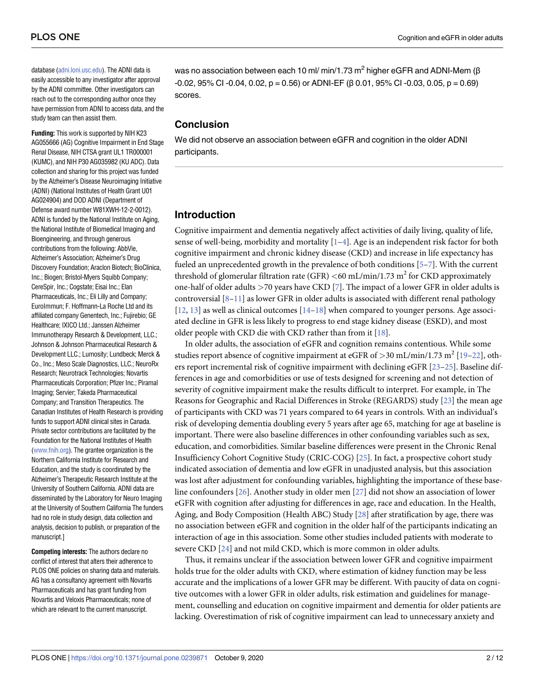<span id="page-1-0"></span>database ([adni.loni.usc.edu\)](http://adni.loni.usc.edu). The ADNI data is easily accessible to any investigator after approval by the ADNI committee. Other investigators can reach out to the corresponding author once they have permission from ADNI to access data, and the study team can then assist them.

**Funding:** This work is supported by NIH K23 AG055666 (AG) Cognitive Impairment in End Stage Renal Disease, NIH CTSA grant UL1 TR000001 (KUMC), and NIH P30 AG035982 (KU ADC). Data collection and sharing for this project was funded by the Alzheimer's Disease Neuroimaging Initiative (ADNI) (National Institutes of Health Grant U01 AG024904) and DOD ADNI (Department of Defense award number W81XWH-12-2-0012). ADNI is funded by the National Institute on Aging, the National Institute of Biomedical Imaging and Bioengineering, and through generous contributions from the following: AbbVie, Alzheimer's Association; Alzheimer's Drug Discovery Foundation; Araclon Biotech; BioClinica, Inc.; Biogen; Bristol-Myers Squibb Company; CereSpir, Inc.; Cogstate; Eisai Inc.; Elan Pharmaceuticals, Inc.; Eli Lilly and Company; EuroImmun; F. Hoffmann-La Roche Ltd and its affiliated company Genentech, Inc.; Fujirebio; GE Healthcare; IXICO Ltd.; Janssen Alzheimer Immunotherapy Research & Development, LLC.; Johnson & Johnson Pharmaceutical Research & Development LLC.; Lumosity; Lundbeck; Merck & Co., Inc.; Meso Scale Diagnostics, LLC.; NeuroRx Research; Neurotrack Technologies; Novartis Pharmaceuticals Corporation; Pfizer Inc.; Piramal Imaging; Servier; Takeda Pharmaceutical Company; and Transition Therapeutics. The Canadian Institutes of Health Research is providing funds to support ADNI clinical sites in Canada. Private sector contributions are facilitated by the Foundation for the National Institutes of Health [\(www.fnih.org\)](http://www.fnih.org). The grantee organization is the Northern California Institute for Research and Education, and the study is coordinated by the Alzheimer's Therapeutic Research Institute at the University of Southern California. ADNI data are disseminated by the Laboratory for Neuro Imaging at the University of Southern California The funders had no role in study design, data collection and analysis, decision to publish, or preparation of the manuscript.]

**Competing interests:** The authors declare no conflict of interest that alters their adherence to PLOS ONE policies on sharing data and materials. AG has a consultancy agreement with Novartis Pharmaceuticals and has grant funding from Novartis and Veloxis Pharmaceuticals; none of which are relevant to the current manuscript.

was no association between each 10 ml/ min/1.73  $m^2$  higher eGFR and ADNI-Mem ( $\beta$  $-0.02$ , 95% CI  $-0.04$ , 0.02, p = 0.56) or ADNI-EF ( $\beta$  0.01, 95% CI  $-0.03$ , 0.05, p = 0.69) scores.

## **Conclusion**

We did not observe an association between eGFR and cognition in the older ADNI participants.

#### **Introduction**

Cognitive impairment and dementia negatively affect activities of daily living, quality of life, sense of well-being, morbidity and mortality [[1–4\]](#page-9-0). Age is an independent risk factor for both cognitive impairment and chronic kidney disease (CKD) and increase in life expectancy has fueled an unprecedented growth in the prevalence of both conditions [\[5–7\]](#page-9-0). With the current threshold of glomerular filtration rate (GFR) *<*60 mL/min/1.73 m<sup>2</sup> for CKD approximately one-half of older adults *>*70 years have CKD [[7](#page-9-0)]. The impact of a lower GFR in older adults is controversial  $[8-11]$  $[8-11]$  $[8-11]$  $[8-11]$  $[8-11]$  as lower GFR in older adults is associated with different renal pathology  $[12, 13]$  $[12, 13]$  $[12, 13]$  as well as clinical outcomes  $[14-18]$  $[14-18]$  $[14-18]$  when compared to younger persons. Age associated decline in GFR is less likely to progress to end stage kidney disease (ESKD), and most older people with CKD die with CKD rather than from it [[18](#page-10-0)].

In older adults, the association of eGFR and cognition remains contentious. While some studies report absence of cognitive impairment at eGFR of >30 mL/min/1.73 m<sup>2</sup> [[19](#page-10-0)–[22](#page-10-0)], others report incremental risk of cognitive impairment with declining eGFR [[23–25\]](#page-10-0). Baseline differences in age and comorbidities or use of tests designed for screening and not detection of severity of cognitive impairment make the results difficult to interpret. For example, in The Reasons for Geographic and Racial Differences in Stroke (REGARDS) study [[23](#page-10-0)] the mean age of participants with CKD was 71 years compared to 64 years in controls. With an individual's risk of developing dementia doubling every 5 years after age 65, matching for age at baseline is important. There were also baseline differences in other confounding variables such as sex, education, and comorbidities. Similar baseline differences were present in the Chronic Renal Insufficiency Cohort Cognitive Study (CRIC-COG) [[25](#page-10-0)]. In fact, a prospective cohort study indicated association of dementia and low eGFR in unadjusted analysis, but this association was lost after adjustment for confounding variables, highlighting the importance of these baseline confounders [\[26\]](#page-10-0). Another study in older men [[27](#page-10-0)] did not show an association of lower eGFR with cognition after adjusting for differences in age, race and education. In the Health, Aging, and Body Composition (Health ABC) Study [[28](#page-10-0)] after stratification by age, there was no association between eGFR and cognition in the older half of the participants indicating an interaction of age in this association. Some other studies included patients with moderate to severe CKD [\[24\]](#page-10-0) and not mild CKD, which is more common in older adults.

Thus, it remains unclear if the association between lower GFR and cognitive impairment holds true for the older adults with CKD, where estimation of kidney function may be less accurate and the implications of a lower GFR may be different. With paucity of data on cognitive outcomes with a lower GFR in older adults, risk estimation and guidelines for management, counselling and education on cognitive impairment and dementia for older patients are lacking. Overestimation of risk of cognitive impairment can lead to unnecessary anxiety and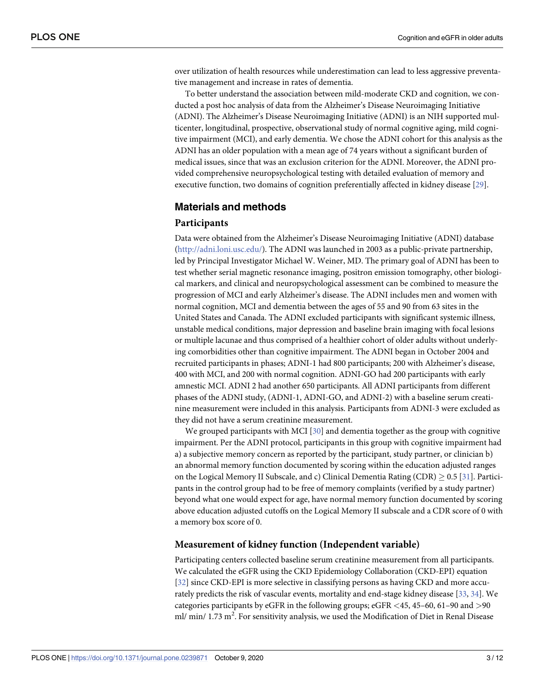<span id="page-2-0"></span>over utilization of health resources while underestimation can lead to less aggressive preventative management and increase in rates of dementia.

To better understand the association between mild-moderate CKD and cognition, we conducted a post hoc analysis of data from the Alzheimer's Disease Neuroimaging Initiative (ADNI). The Alzheimer's Disease Neuroimaging Initiative (ADNI) is an NIH supported multicenter, longitudinal, prospective, observational study of normal cognitive aging, mild cognitive impairment (MCI), and early dementia. We chose the ADNI cohort for this analysis as the ADNI has an older population with a mean age of 74 years without a significant burden of medical issues, since that was an exclusion criterion for the ADNI. Moreover, the ADNI provided comprehensive neuropsychological testing with detailed evaluation of memory and executive function, two domains of cognition preferentially affected in kidney disease [\[29\]](#page-10-0).

#### **Materials and methods**

#### **Participants**

Data were obtained from the Alzheimer's Disease Neuroimaging Initiative (ADNI) database [\(http://adni.loni.usc.edu/\)](http://adni.loni.usc.edu/). The ADNI was launched in 2003 as a public-private partnership, led by Principal Investigator Michael W. Weiner, MD. The primary goal of ADNI has been to test whether serial magnetic resonance imaging, positron emission tomography, other biological markers, and clinical and neuropsychological assessment can be combined to measure the progression of MCI and early Alzheimer's disease. The ADNI includes men and women with normal cognition, MCI and dementia between the ages of 55 and 90 from 63 sites in the United States and Canada. The ADNI excluded participants with significant systemic illness, unstable medical conditions, major depression and baseline brain imaging with focal lesions or multiple lacunae and thus comprised of a healthier cohort of older adults without underlying comorbidities other than cognitive impairment. The ADNI began in October 2004 and recruited participants in phases; ADNI-1 had 800 participants; 200 with Alzheimer's disease, 400 with MCI, and 200 with normal cognition. ADNI-GO had 200 participants with early amnestic MCI. ADNI 2 had another 650 participants. All ADNI participants from different phases of the ADNI study, (ADNI-1, ADNI-GO, and ADNI-2) with a baseline serum creatinine measurement were included in this analysis. Participants from ADNI-3 were excluded as they did not have a serum creatinine measurement.

We grouped participants with MCI  $[30]$  $[30]$  $[30]$  and dementia together as the group with cognitive impairment. Per the ADNI protocol, participants in this group with cognitive impairment had a) a subjective memory concern as reported by the participant, study partner, or clinician b) an abnormal memory function documented by scoring within the education adjusted ranges on the Logical Memory II Subscale, and c) Clinical Dementia Rating (CDR)  $\geq$  0.5 [[31](#page-10-0)]. Participants in the control group had to be free of memory complaints (verified by a study partner) beyond what one would expect for age, have normal memory function documented by scoring above education adjusted cutoffs on the Logical Memory II subscale and a CDR score of 0 with a memory box score of 0.

#### **Measurement of kidney function (Independent variable)**

Participating centers collected baseline serum creatinine measurement from all participants. We calculated the eGFR using the CKD Epidemiology Collaboration (CKD-EPI) equation [\[32\]](#page-10-0) since CKD-EPI is more selective in classifying persons as having CKD and more accurately predicts the risk of vascular events, mortality and end-stage kidney disease [[33](#page-10-0), [34](#page-10-0)]. We categories participants by eGFR in the following groups; eGFR *<*45, 45–60, 61–90 and *>*90 ml/ min/ 1.73 m<sup>2</sup>. For sensitivity analysis, we used the Modification of Diet in Renal Disease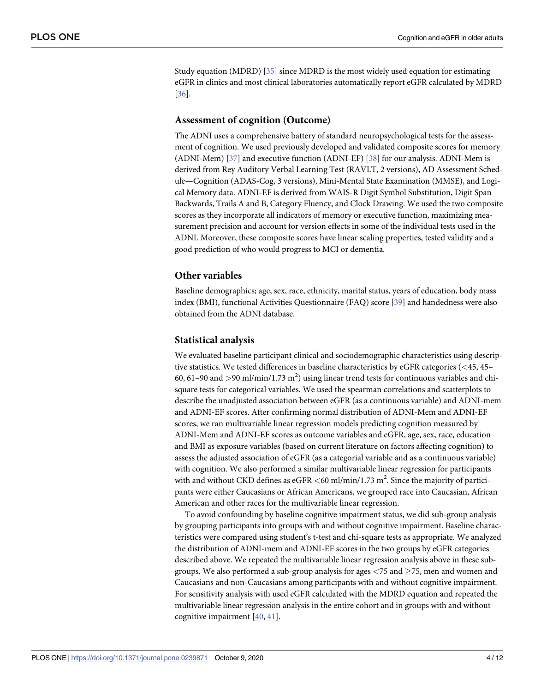<span id="page-3-0"></span>Study equation (MDRD) [[35](#page-11-0)] since MDRD is the most widely used equation for estimating eGFR in clinics and most clinical laboratories automatically report eGFR calculated by MDRD [\[36\]](#page-11-0).

#### **Assessment of cognition (Outcome)**

The ADNI uses a comprehensive battery of standard neuropsychological tests for the assessment of cognition. We used previously developed and validated composite scores for memory (ADNI-Mem) [\[37\]](#page-11-0) and executive function (ADNI-EF) [\[38\]](#page-11-0) for our analysis. ADNI-Mem is derived from Rey Auditory Verbal Learning Test (RAVLT, 2 versions), AD Assessment Schedule—Cognition (ADAS-Cog, 3 versions), Mini-Mental State Examination (MMSE), and Logical Memory data. ADNI-EF is derived from WAIS-R Digit Symbol Substitution, Digit Span Backwards, Trails A and B, Category Fluency, and Clock Drawing. We used the two composite scores as they incorporate all indicators of memory or executive function, maximizing measurement precision and account for version effects in some of the individual tests used in the ADNI. Moreover, these composite scores have linear scaling properties, tested validity and a good prediction of who would progress to MCI or dementia.

#### **Other variables**

Baseline demographics; age, sex, race, ethnicity, marital status, years of education, body mass index (BMI), functional Activities Questionnaire (FAQ) score [\[39\]](#page-11-0) and handedness were also obtained from the ADNI database.

#### **Statistical analysis**

We evaluated baseline participant clinical and sociodemographic characteristics using descriptive statistics. We tested differences in baseline characteristics by eGFR categories (*<*45, 45– 60, 61-90 and  $>$ 90 ml/min/1.73 m<sup>2</sup>) using linear trend tests for continuous variables and chisquare tests for categorical variables. We used the spearman correlations and scatterplots to describe the unadjusted association between eGFR (as a continuous variable) and ADNI-mem and ADNI-EF scores. After confirming normal distribution of ADNI-Mem and ADNI-EF scores, we ran multivariable linear regression models predicting cognition measured by ADNI-Mem and ADNI-EF scores as outcome variables and eGFR, age, sex, race, education and BMI as exposure variables (based on current literature on factors affecting cognition) to assess the adjusted association of eGFR (as a categorial variable and as a continuous variable) with cognition. We also performed a similar multivariable linear regression for participants with and without CKD defines as eGFR <60 ml/min/1.73 m<sup>2</sup>. Since the majority of participants were either Caucasians or African Americans, we grouped race into Caucasian, African American and other races for the multivariable linear regression.

To avoid confounding by baseline cognitive impairment status, we did sub-group analysis by grouping participants into groups with and without cognitive impairment. Baseline characteristics were compared using student's t-test and chi-square tests as appropriate. We analyzed the distribution of ADNI-mem and ADNI-EF scores in the two groups by eGFR categories described above. We repeated the multivariable linear regression analysis above in these subgroups. We also performed a sub-group analysis for ages  $\langle 75 \text{ and } \geq 75$ , men and women and Caucasians and non-Caucasians among participants with and without cognitive impairment. For sensitivity analysis with used eGFR calculated with the MDRD equation and repeated the multivariable linear regression analysis in the entire cohort and in groups with and without cognitive impairment [\[40,](#page-11-0) [41](#page-11-0)].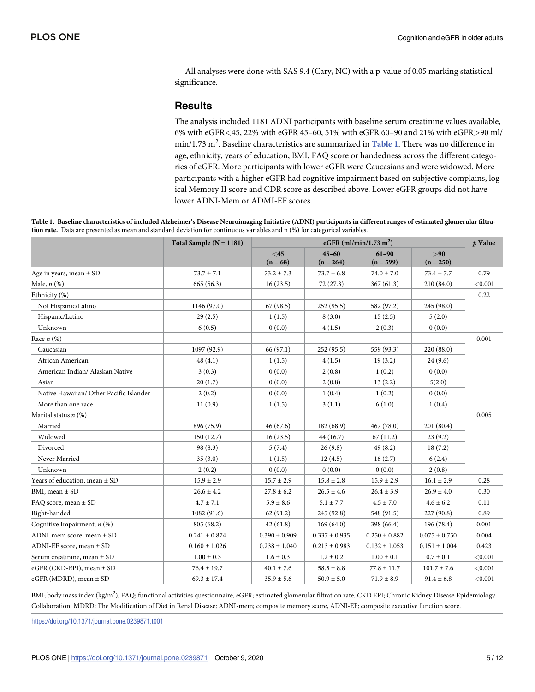All analyses were done with SAS 9.4 (Cary, NC) with a p-value of 0.05 marking statistical significance.

### **Results**

The analysis included 1181 ADNI participants with baseline serum creatinine values available, 6% with eGFR*<*45, 22% with eGFR 45–60, 51% with eGFR 60–90 and 21% with eGFR*>*90 ml/ min/1.73 m<sup>2</sup>. Baseline characteristics are summarized in Table 1. There was no difference in age, ethnicity, years of education, BMI, FAQ score or handedness across the different categories of eGFR. More participants with lower eGFR were Caucasians and were widowed. More participants with a higher eGFR had cognitive impairment based on subjective complains, logical Memory II score and CDR score as described above. Lower eGFR groups did not have lower ADNI-Mem or ADMI-EF scores.

Table 1. Baseline characteristics of included Alzheimer's Disease Neuroimaging Initiative (ADNI) participants in different ranges of estimated glomerular filtra**tion rate.** Data are presented as mean and standard deviation for continuous variables and n (%) for categorical variables.

|                                         | Total Sample $(N = 1181)$ | eGFR (ml/min/1.73 m <sup>2</sup> ) |                          |                          |                     | p Value |  |
|-----------------------------------------|---------------------------|------------------------------------|--------------------------|--------------------------|---------------------|---------|--|
|                                         |                           | $<$ 45<br>$(n = 68)$               | $45 - 60$<br>$(n = 264)$ | $61 - 90$<br>$(n = 599)$ | > 90<br>$(n = 250)$ |         |  |
| Age in years, mean $\pm$ SD             | $73.7 \pm 7.1$            | $73.2 \pm 7.3$                     | $73.7 \pm 6.8$           | $74.0 \pm 7.0$           | $73.4 \pm 7.7$      | 0.79    |  |
| Male, $n$ $(\%)$                        | 665(56.3)                 | 16(23.5)                           | 72(27.3)                 | 367(61.3)                | 210(84.0)           | < 0.001 |  |
| Ethnicity (%)                           |                           |                                    |                          |                          |                     | 0.22    |  |
| Not Hispanic/Latino                     | 1146 (97.0)               | 67(98.5)                           | 252 (95.5)               | 582 (97.2)               | 245 (98.0)          |         |  |
| Hispanic/Latino                         | 29(2.5)                   | 1(1.5)                             | 8(3.0)                   | 15(2.5)                  | 5(2.0)              |         |  |
| Unknown                                 | 6(0.5)                    | 0(0.0)                             | 4(1.5)                   | 2(0.3)                   | 0(0.0)              |         |  |
| Race $n$ (%)                            |                           |                                    |                          |                          |                     | 0.001   |  |
| Caucasian                               | 1097 (92.9)               | 66 (97.1)                          | 252 (95.5)               | 559 (93.3)               | 220 (88.0)          |         |  |
| African American                        | 48(4.1)                   | 1(1.5)                             | 4(1.5)                   | 19(3.2)                  | 24(9.6)             |         |  |
| American Indian/ Alaskan Native         | 3(0.3)                    | 0(0.0)                             | 2(0.8)                   | 1(0.2)                   | 0(0.0)              |         |  |
| Asian                                   | 20(1.7)                   | 0(0.0)                             | 2(0.8)                   | 13(2.2)                  | 5(2.0)              |         |  |
| Native Hawaiian/ Other Pacific Islander | 2(0.2)                    | 0(0.0)                             | 1(0.4)                   | 1(0.2)                   | 0(0.0)              |         |  |
| More than one race                      | 11(0.9)                   | 1(1.5)                             | 3(1.1)                   | 6(1.0)                   | 1(0.4)              |         |  |
| Marital status $n$ (%)                  |                           |                                    |                          |                          |                     | 0.005   |  |
| Married                                 | 896 (75.9)                | 46(67.6)                           | 182 (68.9)               | 467(78.0)                | 201 (80.4)          |         |  |
| Widowed                                 | 150(12.7)                 | 16(23.5)                           | 44(16.7)                 | 67(11.2)                 | 23(9.2)             |         |  |
| Divorced                                | 98 (8.3)                  | 5(7.4)                             | 26(9.8)                  | 49(8.2)                  | 18(7.2)             |         |  |
| Never Married                           | 35(3.0)                   | 1(1.5)                             | 12(4.5)                  | 16(2.7)                  | 6(2.4)              |         |  |
| Unknown                                 | 2(0.2)                    | 0(0.0)                             | 0(0.0)                   | 0(0.0)                   | 2(0.8)              |         |  |
| Years of education, mean ± SD           | $15.9 \pm 2.9$            | $15.7 \pm 2.9$                     | $15.8 \pm 2.8$           | $15.9 \pm 2.9$           | $16.1 \pm 2.9$      | 0.28    |  |
| BMI, mean $\pm$ SD                      | $26.6 \pm 4.2$            | $27.8 \pm 6.2$                     | $26.5 \pm 4.6$           | $26.4 \pm 3.9$           | $26.9 \pm 4.0$      | 0.30    |  |
| FAQ score, mean ± SD                    | $4.7 \pm 7.1$             | $5.9 \pm 8.6$                      | $5.1 \pm 7.7$            | $4.5 \pm 7.0$            | $4.6 \pm 6.2$       | 0.11    |  |
| Right-handed                            | 1082 (91.6)               | 62(91.2)                           | 245 (92.8)               | 548 (91.5)               | 227 (90.8)          | 0.89    |  |
| Cognitive Impairment, $n$ (%)           | 805(68.2)                 | 42(61.8)                           | 169(64.0)                | 398 (66.4)               | 196 (78.4)          | 0.001   |  |
| ADNI-mem score, mean ± SD               | $0.241 \pm 0.874$         | $0.390 \pm 0.909$                  | $0.337 \pm 0.935$        | $0.250 \pm 0.882$        | $0.075 \pm 0.750$   | 0.004   |  |
| ADNI-EF score, mean $\pm$ SD            | $0.160 \pm 1.026$         | $0.238 \pm 1.040$                  | $0.213 \pm 0.983$        | $0.132 \pm 1.053$        | $0.151 \pm 1.004$   | 0.423   |  |
| Serum creatinine, mean ± SD             | $1.00 \pm 0.3$            | $1.6 \pm 0.3$                      | $1.2 \pm 0.2$            | $1.00 \pm 0.1$           | $0.7\pm0.1$         | < 0.001 |  |
| eGFR (CKD-EPI), mean $\pm$ SD           | $76.4 \pm 19.7$           | $40.1 \pm 7.6$                     | $58.5 \pm 8.8$           | $77.8 \pm 11.7$          | $101.7 \pm 7.6$     | < 0.001 |  |
| eGFR (MDRD), mean $\pm$ SD              | $69.3 \pm 17.4$           | $35.9 \pm 5.6$                     | $50.9 \pm 5.0$           | $71.9 \pm 8.9$           | $91.4 \pm 6.8$      | < 0.001 |  |

BMI; body mass index (kg/m<sup>2</sup>), FAQ; functional activities questionnaire, eGFR; estimated glomerular filtration rate, CKD EPI; Chronic Kidney Disease Epidemiology Collaboration, MDRD; The Modification of Diet in Renal Disease; ADNI-mem; composite memory score, ADNI-EF; composite executive function score.

<https://doi.org/10.1371/journal.pone.0239871.t001>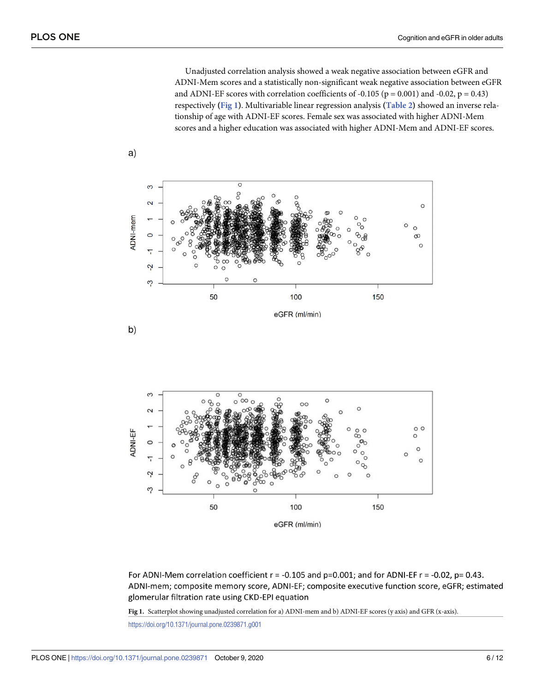<span id="page-5-0"></span>Unadjusted correlation analysis showed a weak negative association between eGFR and ADNI-Mem scores and a statistically non-significant weak negative association between eGFR and ADNI-EF scores with correlation coefficients of -0.105 ( $p = 0.001$ ) and -0.02,  $p = 0.43$ ) respectively **(Fig 1)**. Multivariable linear regression analysis **([Table](#page-6-0) 2)** showed an inverse relationship of age with ADNI-EF scores. Female sex was associated with higher ADNI-Mem scores and a higher education was associated with higher ADNI-Mem and ADNI-EF scores.





 $a)$ 



For ADNI-Mem correlation coefficient  $r = -0.105$  and  $p=0.001$ ; and for ADNI-EF  $r = -0.02$ ,  $p = 0.43$ . ADNI-mem; composite memory score, ADNI-EF; composite executive function score, eGFR; estimated glomerular filtration rate using CKD-EPI equation

**Fig 1.** Scatterplot showing unadjusted correlation for a) ADNI-mem and b) ADNI-EF scores (y axis) and GFR (x-axis).

<https://doi.org/10.1371/journal.pone.0239871.g001>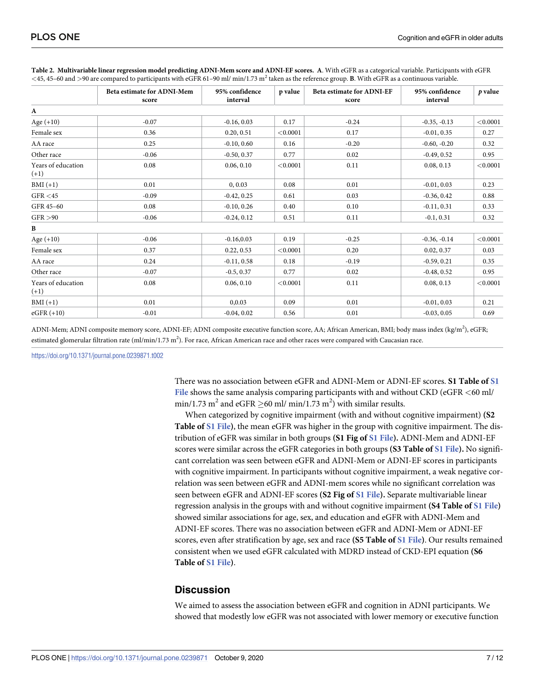|                              | <b>Beta estimate for ADNI-Mem</b><br>score | 95% confidence<br>interval | p value  | <b>Beta estimate for ADNI-EF</b><br>score | 95% confidence<br>interval | $p$ value |
|------------------------------|--------------------------------------------|----------------------------|----------|-------------------------------------------|----------------------------|-----------|
| A                            |                                            |                            |          |                                           |                            |           |
| Age $(+10)$                  | $-0.07$                                    | $-0.16, 0.03$              | 0.17     | $-0.24$                                   | $-0.35, -0.13$             | < 0.0001  |
| Female sex                   | 0.36                                       | 0.20, 0.51                 | < 0.0001 | 0.17                                      | $-0.01, 0.35$              | 0.27      |
| AA race                      | 0.25                                       | $-0.10, 0.60$              | 0.16     | $-0.20$                                   | $-0.60, -0.20$             | 0.32      |
| Other race                   | $-0.06$                                    | $-0.50, 0.37$              | 0.77     | 0.02                                      | $-0.49, 0.52$              | 0.95      |
| Years of education<br>$(+1)$ | 0.08                                       | 0.06, 0.10                 | < 0.0001 | 0.11                                      | 0.08, 0.13                 | < 0.0001  |
| $BMI (+1)$                   | 0.01                                       | 0, 0.03                    | 0.08     | 0.01                                      | $-0.01, 0.03$              | 0.23      |
| GFR < 45                     | $-0.09$                                    | $-0.42, 0.25$              | 0.61     | 0.03                                      | $-0.36, 0.42$              | 0.88      |
| GFR 45-60                    | 0.08                                       | $-0.10, 0.26$              | 0.40     | 0.10                                      | $-0.11, 0.31$              | 0.33      |
| GFR > 90                     | $-0.06$                                    | $-0.24, 0.12$              | 0.51     | 0.11                                      | $-0.1, 0.31$               | 0.32      |
| B                            |                                            |                            |          |                                           |                            |           |
| Age $(+10)$                  | $-0.06$                                    | $-0.16, 0.03$              | 0.19     | $-0.25$                                   | $-0.36, -0.14$             | < 0.0001  |
| Female sex                   | 0.37                                       | 0.22, 0.53                 | < 0.0001 | 0.20                                      | 0.02, 0.37                 | 0.03      |
| AA race                      | 0.24                                       | $-0.11, 0.58$              | 0.18     | $-0.19$                                   | $-0.59, 0.21$              | 0.35      |
| Other race                   | $-0.07$                                    | $-0.5, 0.37$               | 0.77     | 0.02                                      | $-0.48, 0.52$              | 0.95      |
| Years of education<br>$(+1)$ | 0.08                                       | 0.06, 0.10                 | < 0.0001 | 0.11                                      | 0.08, 0.13                 | < 0.0001  |
| $BMI (+1)$                   | 0.01                                       | 0,0.03                     | 0.09     | 0.01                                      | $-0.01, 0.03$              | 0.21      |
| $eGFR (+10)$                 | $-0.01$                                    | $-0.04, 0.02$              | 0.56     | 0.01                                      | $-0.03, 0.05$              | 0.69      |

<span id="page-6-0"></span>[Table](#page-5-0) 2. Multivariable linear regression model predicting ADNI-Mem score and ADNI-EF scores. A. With eGFR as a categorical variable. Participants with eGFR *<*45, 45–60 and *>*90 are compared to participants with eGFR 61–90 ml/ min/1.73 m2 taken as the reference group. **B**. With eGFR as a continuous variable.

ADNI-Mem; ADNI composite memory score, ADNI-EF; ADNI composite executive function score, AA; African American, BMI; body mass index (kg/m<sup>2</sup>), eGFR; estimated glomerular filtration rate (ml/min/1.73 m<sup>2</sup>). For race, African American race and other races were compared with Caucasian race.

<https://doi.org/10.1371/journal.pone.0239871.t002>

There was no association between eGFR and ADNI-Mem or ADNI-EF scores. **S1 Table of [S1](#page-8-0) [File](#page-8-0)** shows the same analysis comparing participants with and without CKD (eGFR *<*60 ml/ min/1.73 m<sup>2</sup> and eGFR  $\geq$  60 ml/ min/1.73 m<sup>2</sup>) with similar results.

When categorized by cognitive impairment (with and without cognitive impairment) **(S2 Table of S1 [File\)](#page-8-0)**, the mean eGFR was higher in the group with cognitive impairment. The distribution of eGFR was similar in both groups **(S1 Fig of S1 [File](#page-8-0)).** ADNI-Mem and ADNI-EF scores were similar across the eGFR categories in both groups **(S3 Table of S1 [File](#page-8-0)).** No significant correlation was seen between eGFR and ADNI-Mem or ADNI-EF scores in participants with cognitive impairment. In participants without cognitive impairment, a weak negative correlation was seen between eGFR and ADNI-mem scores while no significant correlation was seen between eGFR and ADNI-EF scores **(S2 Fig of S1 [File](#page-8-0)).** Separate multivariable linear regression analysis in the groups with and without cognitive impairment **(S4 Table of S1 [File\)](#page-8-0)** showed similar associations for age, sex, and education and eGFR with ADNI-Mem and ADNI-EF scores. There was no association between eGFR and ADNI-Mem or ADNI-EF scores, even after stratification by age, sex and race **(S5 Table of S1 [File\)](#page-8-0)**. Our results remained consistent when we used eGFR calculated with MDRD instead of CKD-EPI equation **(S6 Table of S1 [File\)](#page-8-0)**.

### **Discussion**

We aimed to assess the association between eGFR and cognition in ADNI participants. We showed that modestly low eGFR was not associated with lower memory or executive function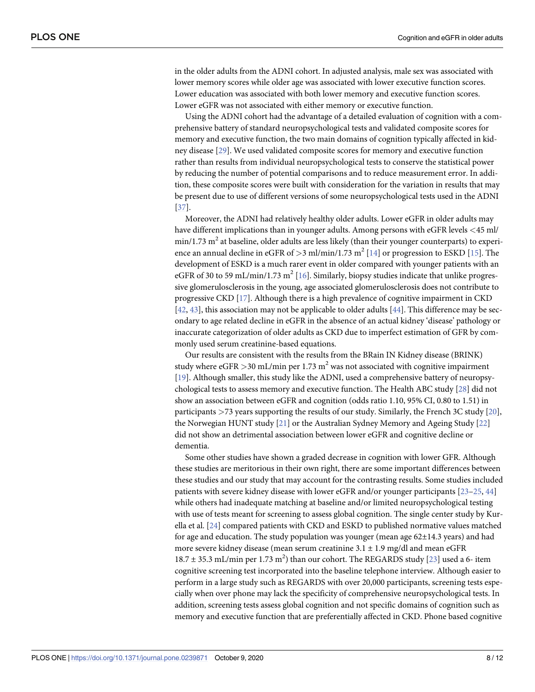<span id="page-7-0"></span>in the older adults from the ADNI cohort. In adjusted analysis, male sex was associated with lower memory scores while older age was associated with lower executive function scores. Lower education was associated with both lower memory and executive function scores. Lower eGFR was not associated with either memory or executive function.

Using the ADNI cohort had the advantage of a detailed evaluation of cognition with a comprehensive battery of standard neuropsychological tests and validated composite scores for memory and executive function, the two main domains of cognition typically affected in kidney disease [\[29\]](#page-10-0). We used validated composite scores for memory and executive function rather than results from individual neuropsychological tests to conserve the statistical power by reducing the number of potential comparisons and to reduce measurement error. In addition, these composite scores were built with consideration for the variation in results that may be present due to use of different versions of some neuropsychological tests used in the ADNI [\[37\]](#page-11-0).

Moreover, the ADNI had relatively healthy older adults. Lower eGFR in older adults may have different implications than in younger adults. Among persons with eGFR levels *<*45 ml/  $min/1.73$  m<sup>2</sup> at baseline, older adults are less likely (than their younger counterparts) to experience an annual decline in eGFR of *>*3 ml/min/1.73 m2 [[14](#page-9-0)] or progression to ESKD [\[15\]](#page-9-0). The development of ESKD is a much rarer event in older compared with younger patients with an eGFR of 30 to 59 mL/min/1.73 m<sup>2</sup> [[16](#page-9-0)]. Similarly, biopsy studies indicate that unlike progressive glomerulosclerosis in the young, age associated glomerulosclerosis does not contribute to progressive CKD [[17](#page-10-0)]. Although there is a high prevalence of cognitive impairment in CKD [\[42,](#page-11-0) [43\]](#page-11-0), this association may not be applicable to older adults [\[44\]](#page-11-0). This difference may be secondary to age related decline in eGFR in the absence of an actual kidney 'disease' pathology or inaccurate categorization of older adults as CKD due to imperfect estimation of GFR by commonly used serum creatinine-based equations.

Our results are consistent with the results from the BRain IN Kidney disease (BRINK) study where  $e$ GFR  $>$ 30 mL/min per 1.73 m<sup>2</sup> was not associated with cognitive impairment [\[19\]](#page-10-0). Although smaller, this study like the ADNI, used a comprehensive battery of neuropsychological tests to assess memory and executive function. The Health ABC study [[28](#page-10-0)] did not show an association between eGFR and cognition (odds ratio 1.10, 95% CI, 0.80 to 1.51) in participants *>*73 years supporting the results of our study. Similarly, the French 3C study [\[20\]](#page-10-0), the Norwegian HUNT study [\[21\]](#page-10-0) or the Australian Sydney Memory and Ageing Study [\[22\]](#page-10-0) did not show an detrimental association between lower eGFR and cognitive decline or dementia.

Some other studies have shown a graded decrease in cognition with lower GFR. Although these studies are meritorious in their own right, there are some important differences between these studies and our study that may account for the contrasting results. Some studies included patients with severe kidney disease with lower eGFR and/or younger participants [\[23–25](#page-10-0), [44](#page-11-0)] while others had inadequate matching at baseline and/or limited neuropsychological testing with use of tests meant for screening to assess global cognition. The single center study by Kurella et al. [[24](#page-10-0)] compared patients with CKD and ESKD to published normative values matched for age and education. The study population was younger (mean age 62±14.3 years) and had more severe kidney disease (mean serum creatinine  $3.1 \pm 1.9$  mg/dl and mean eGFR  $18.7 \pm 35.3$  mL/min per  $1.73$  m<sup>2</sup>) than our cohort. The REGARDS study [\[23\]](#page-10-0) used a 6- item cognitive screening test incorporated into the baseline telephone interview. Although easier to perform in a large study such as REGARDS with over 20,000 participants, screening tests especially when over phone may lack the specificity of comprehensive neuropsychological tests. In addition, screening tests assess global cognition and not specific domains of cognition such as memory and executive function that are preferentially affected in CKD. Phone based cognitive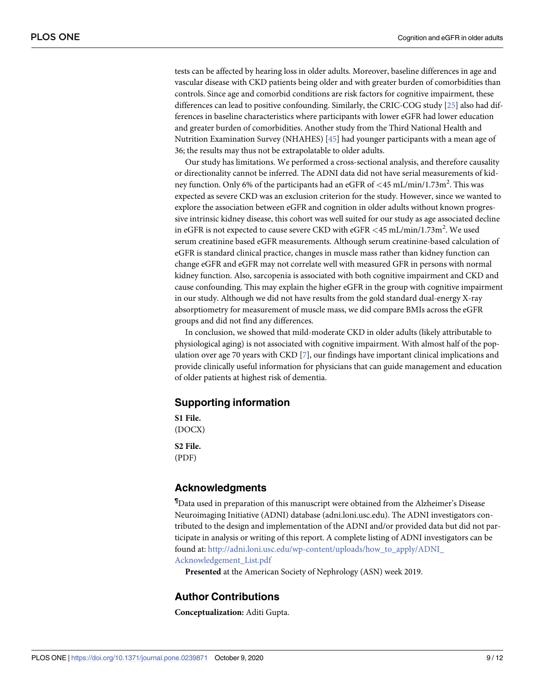<span id="page-8-0"></span>tests can be affected by hearing loss in older adults. Moreover, baseline differences in age and vascular disease with CKD patients being older and with greater burden of comorbidities than controls. Since age and comorbid conditions are risk factors for cognitive impairment, these differences can lead to positive confounding. Similarly, the CRIC-COG study [[25](#page-10-0)] also had differences in baseline characteristics where participants with lower eGFR had lower education and greater burden of comorbidities. Another study from the Third National Health and Nutrition Examination Survey (NHAHES) [[45](#page-11-0)] had younger participants with a mean age of 36; the results may thus not be extrapolatable to older adults.

Our study has limitations. We performed a cross-sectional analysis, and therefore causality or directionality cannot be inferred. The ADNI data did not have serial measurements of kidney function. Only 6% of the participants had an eGFR of *<*45 mL/min/1.73m<sup>2</sup> . This was expected as severe CKD was an exclusion criterion for the study. However, since we wanted to explore the association between eGFR and cognition in older adults without known progressive intrinsic kidney disease, this cohort was well suited for our study as age associated decline in eGFR is not expected to cause severe CKD with eGFR *<*45 mL/min/1.73m<sup>2</sup> . We used serum creatinine based eGFR measurements. Although serum creatinine-based calculation of eGFR is standard clinical practice, changes in muscle mass rather than kidney function can change eGFR and eGFR may not correlate well with measured GFR in persons with normal kidney function. Also, sarcopenia is associated with both cognitive impairment and CKD and cause confounding. This may explain the higher eGFR in the group with cognitive impairment in our study. Although we did not have results from the gold standard dual-energy X-ray absorptiometry for measurement of muscle mass, we did compare BMIs across the eGFR groups and did not find any differences.

In conclusion, we showed that mild-moderate CKD in older adults (likely attributable to physiological aging) is not associated with cognitive impairment. With almost half of the population over age 70 years with CKD [\[7](#page-9-0)], our findings have important clinical implications and provide clinically useful information for physicians that can guide management and education of older patients at highest risk of dementia.

## **Supporting information**

**S1 [File.](http://www.plosone.org/article/fetchSingleRepresentation.action?uri=info:doi/10.1371/journal.pone.0239871.s001)** (DOCX)

**S2 [File.](http://www.plosone.org/article/fetchSingleRepresentation.action?uri=info:doi/10.1371/journal.pone.0239871.s002)** (PDF)

### **Acknowledgments**

¶ Data used in preparation of this manuscript were obtained from the Alzheimer's Disease Neuroimaging Initiative (ADNI) database (adni.loni.usc.edu). The ADNI investigators contributed to the design and implementation of the ADNI and/or provided data but did not participate in analysis or writing of this report. A complete listing of ADNI investigators can be found at: [http://adni.loni.usc.edu/wp-content/uploads/how\\_to\\_apply/ADNI\\_](http://adni.loni.usc.edu/wp-content/uploads/how_to_apply/ADNI_Acknowledgement_List.pdf) [Acknowledgement\\_List.pdf](http://adni.loni.usc.edu/wp-content/uploads/how_to_apply/ADNI_Acknowledgement_List.pdf)

**Presented** at the American Society of Nephrology (ASN) week 2019.

# **Author Contributions**

**Conceptualization:** Aditi Gupta.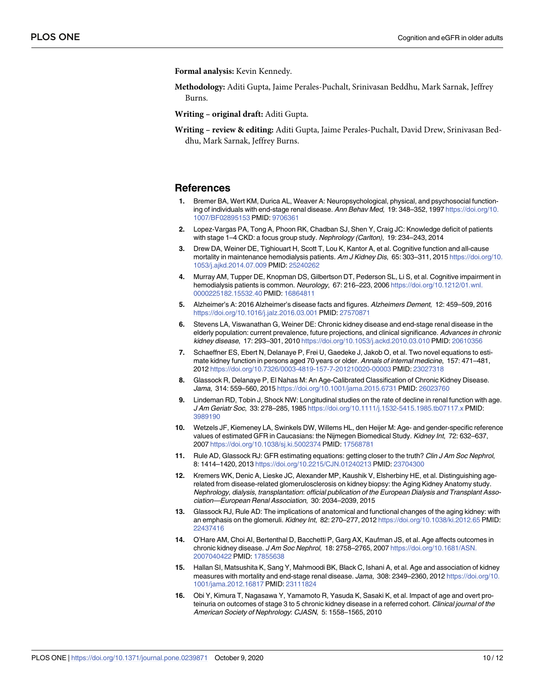<span id="page-9-0"></span>**Formal analysis:** Kevin Kennedy.

**Methodology:** Aditi Gupta, Jaime Perales-Puchalt, Srinivasan Beddhu, Mark Sarnak, Jeffrey Burns.

**Writing – original draft:** Aditi Gupta.

**Writing – review & editing:** Aditi Gupta, Jaime Perales-Puchalt, David Drew, Srinivasan Beddhu, Mark Sarnak, Jeffrey Burns.

#### **References**

- **[1](#page-1-0).** Bremer BA, Wert KM, Durica AL, Weaver A: Neuropsychological, physical, and psychosocial functioning of individuals with end-stage renal disease. Ann Behav Med, 19: 348–352, 1997 [https://doi.org/10.](https://doi.org/10.1007/BF02895153) [1007/BF02895153](https://doi.org/10.1007/BF02895153) PMID: [9706361](http://www.ncbi.nlm.nih.gov/pubmed/9706361)
- **2.** Lopez-Vargas PA, Tong A, Phoon RK, Chadban SJ, Shen Y, Craig JC: Knowledge deficit of patients with stage 1–4 CKD: a focus group study. Nephrology (Carlton), 19: 234–243, 2014
- **3.** Drew DA, Weiner DE, Tighiouart H, Scott T, Lou K, Kantor A, et al. Cognitive function and all-cause mortality in maintenance hemodialysis patients. Am J Kidney Dis, 65: 303-311, 2015 [https://doi.org/10.](https://doi.org/10.1053/j.ajkd.2014.07.009) [1053/j.ajkd.2014.07.009](https://doi.org/10.1053/j.ajkd.2014.07.009) PMID: [25240262](http://www.ncbi.nlm.nih.gov/pubmed/25240262)
- **[4](#page-1-0).** Murray AM, Tupper DE, Knopman DS, Gilbertson DT, Pederson SL, Li S, et al. Cognitive impairment in hemodialysis patients is common. Neurology, 67: 216–223, 2006 [https://doi.org/10.1212/01.wnl.](https://doi.org/10.1212/01.wnl.0000225182.15532.40) [0000225182.15532.40](https://doi.org/10.1212/01.wnl.0000225182.15532.40) PMID: [16864811](http://www.ncbi.nlm.nih.gov/pubmed/16864811)
- **[5](#page-1-0).** Alzheimer's A: 2016 Alzheimer's disease facts and figures. Alzheimers Dement, 12: 459–509, 2016 <https://doi.org/10.1016/j.jalz.2016.03.001> PMID: [27570871](http://www.ncbi.nlm.nih.gov/pubmed/27570871)
- **6.** Stevens LA, Viswanathan G, Weiner DE: Chronic kidney disease and end-stage renal disease in the elderly population: current prevalence, future projections, and clinical significance. Advances in chronic kidney disease, 17: 293–301, 2010 <https://doi.org/10.1053/j.ackd.2010.03.010> PMID: [20610356](http://www.ncbi.nlm.nih.gov/pubmed/20610356)
- **[7](#page-1-0).** Schaeffner ES, Ebert N, Delanaye P, Frei U, Gaedeke J, Jakob O, et al. Two novel equations to estimate kidney function in persons aged 70 years or older. Annals of internal medicine, 157: 471–481, 2012 <https://doi.org/10.7326/0003-4819-157-7-201210020-00003> PMID: [23027318](http://www.ncbi.nlm.nih.gov/pubmed/23027318)
- **[8](#page-1-0).** Glassock R, Delanaye P, El Nahas M: An Age-Calibrated Classification of Chronic Kidney Disease. Jama, 314: 559–560, 2015 <https://doi.org/10.1001/jama.2015.6731> PMID: [26023760](http://www.ncbi.nlm.nih.gov/pubmed/26023760)
- **9.** Lindeman RD, Tobin J, Shock NW: Longitudinal studies on the rate of decline in renal function with age. J Am Geriatr Soc, 33: 278–285, 1985 <https://doi.org/10.1111/j.1532-5415.1985.tb07117.x> PMID: [3989190](http://www.ncbi.nlm.nih.gov/pubmed/3989190)
- **10.** Wetzels JF, Kiemeney LA, Swinkels DW, Willems HL, den Heijer M: Age- and gender-specific reference values of estimated GFR in Caucasians: the Nijmegen Biomedical Study. Kidney Int, 72: 632–637, 2007 <https://doi.org/10.1038/sj.ki.5002374> PMID: [17568781](http://www.ncbi.nlm.nih.gov/pubmed/17568781)
- **[11](#page-1-0).** Rule AD, Glassock RJ: GFR estimating equations: getting closer to the truth? Clin J Am Soc Nephrol, 8: 1414–1420, 2013 <https://doi.org/10.2215/CJN.01240213> PMID: [23704300](http://www.ncbi.nlm.nih.gov/pubmed/23704300)
- **[12](#page-1-0).** Kremers WK, Denic A, Lieske JC, Alexander MP, Kaushik V, Elsherbiny HE, et al. Distinguishing agerelated from disease-related glomerulosclerosis on kidney biopsy: the Aging Kidney Anatomy study. Nephrology, dialysis, transplantation: official publication of the European Dialysis and Transplant Association—European Renal Association, 30: 2034–2039, 2015
- **[13](#page-1-0).** Glassock RJ, Rule AD: The implications of anatomical and functional changes of the aging kidney: with an emphasis on the glomeruli. Kidney Int, 82: 270–277, 2012 <https://doi.org/10.1038/ki.2012.65> PMID: [22437416](http://www.ncbi.nlm.nih.gov/pubmed/22437416)
- **[14](#page-1-0).** O'Hare AM, Choi AI, Bertenthal D, Bacchetti P, Garg AX, Kaufman JS, et al. Age affects outcomes in chronic kidney disease. J Am Soc Nephrol, 18: 2758–2765, 2007 [https://doi.org/10.1681/ASN.](https://doi.org/10.1681/ASN.2007040422) [2007040422](https://doi.org/10.1681/ASN.2007040422) PMID: [17855638](http://www.ncbi.nlm.nih.gov/pubmed/17855638)
- **[15](#page-7-0).** Hallan SI, Matsushita K, Sang Y, Mahmoodi BK, Black C, Ishani A, et al. Age and association of kidney measures with mortality and end-stage renal disease. Jama, 308: 2349–2360, 2012 [https://doi.org/10.](https://doi.org/10.1001/jama.2012.16817) [1001/jama.2012.16817](https://doi.org/10.1001/jama.2012.16817) PMID: [23111824](http://www.ncbi.nlm.nih.gov/pubmed/23111824)
- **[16](#page-7-0).** Obi Y, Kimura T, Nagasawa Y, Yamamoto R, Yasuda K, Sasaki K, et al. Impact of age and overt proteinuria on outcomes of stage 3 to 5 chronic kidney disease in a referred cohort. Clinical journal of the American Society of Nephrology: CJASN, 5: 1558–1565, 2010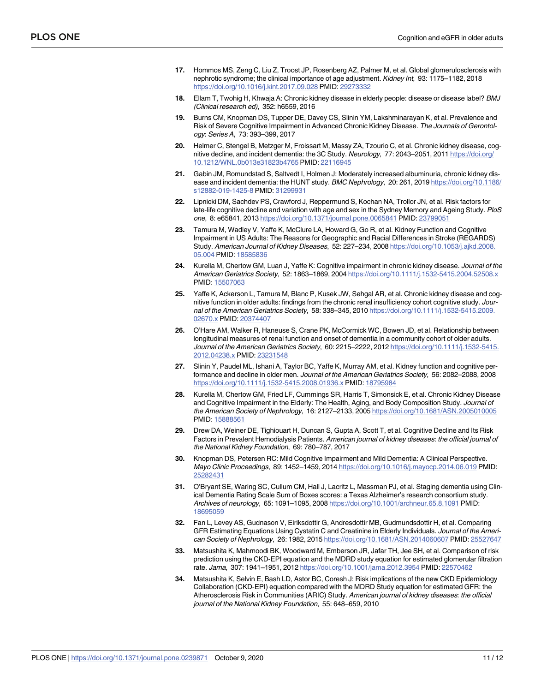- <span id="page-10-0"></span>**[17](#page-7-0).** Hommos MS, Zeng C, Liu Z, Troost JP, Rosenberg AZ, Palmer M, et al. Global glomerulosclerosis with nephrotic syndrome; the clinical importance of age adjustment. Kidney Int, 93: 1175–1182, 2018 <https://doi.org/10.1016/j.kint.2017.09.028> PMID: [29273332](http://www.ncbi.nlm.nih.gov/pubmed/29273332)
- **[18](#page-1-0).** Ellam T, Twohig H, Khwaja A: Chronic kidney disease in elderly people: disease or disease label? BMJ (Clinical research ed), 352: h6559, 2016
- **[19](#page-1-0).** Burns CM, Knopman DS, Tupper DE, Davey CS, Slinin YM, Lakshminarayan K, et al. Prevalence and Risk of Severe Cognitive Impairment in Advanced Chronic Kidney Disease. The Journals of Gerontology: Series A, 73: 393–399, 2017
- **[20](#page-7-0).** Helmer C, Stengel B, Metzger M, Froissart M, Massy ZA, Tzourio C, et al. Chronic kidney disease, cognitive decline, and incident dementia: the 3C Study. Neurology, 77: 2043–2051, 2011 [https://doi.org/](https://doi.org/10.1212/WNL.0b013e31823b4765) [10.1212/WNL.0b013e31823b4765](https://doi.org/10.1212/WNL.0b013e31823b4765) PMID: [22116945](http://www.ncbi.nlm.nih.gov/pubmed/22116945)
- **[21](#page-7-0).** Gabin JM, Romundstad S, Saltvedt I, Holmen J: Moderately increased albuminuria, chronic kidney disease and incident dementia: the HUNT study. BMC Nephrology, 20: 261, 2019 [https://doi.org/10.1186/](https://doi.org/10.1186/s12882-019-1425-8) [s12882-019-1425-8](https://doi.org/10.1186/s12882-019-1425-8) PMID: [31299931](http://www.ncbi.nlm.nih.gov/pubmed/31299931)
- **[22](#page-1-0).** Lipnicki DM, Sachdev PS, Crawford J, Reppermund S, Kochan NA, Trollor JN, et al. Risk factors for late-life cognitive decline and variation with age and sex in the Sydney Memory and Ageing Study. PloS one, 8: e65841, 2013 <https://doi.org/10.1371/journal.pone.0065841> PMID: [23799051](http://www.ncbi.nlm.nih.gov/pubmed/23799051)
- **[23](#page-1-0).** Tamura M, Wadley V, Yaffe K, McClure LA, Howard G, Go R, et al. Kidney Function and Cognitive Impairment in US Adults: The Reasons for Geographic and Racial Differences in Stroke (REGARDS) Study. American Journal of Kidney Diseases, 52: 227–234, 2008 [https://doi.org/10.1053/j.ajkd.2008.](https://doi.org/10.1053/j.ajkd.2008.05.004) [05.004](https://doi.org/10.1053/j.ajkd.2008.05.004) PMID: [18585836](http://www.ncbi.nlm.nih.gov/pubmed/18585836)
- **[24](#page-1-0).** Kurella M, Chertow GM, Luan J, Yaffe K: Cognitive impairment in chronic kidney disease. Journal of the American Geriatrics Society, 52: 1863-1869, 2004 <https://doi.org/10.1111/j.1532-5415.2004.52508.x> PMID: [15507063](http://www.ncbi.nlm.nih.gov/pubmed/15507063)
- **[25](#page-1-0).** Yaffe K, Ackerson L, Tamura M, Blanc P, Kusek JW, Sehgal AR, et al. Chronic kidney disease and cognitive function in older adults: findings from the chronic renal insufficiency cohort cognitive study. Journal of the American Geriatrics Society, 58: 338–345, 2010 [https://doi.org/10.1111/j.1532-5415.2009.](https://doi.org/10.1111/j.1532-5415.2009.02670.x) [02670.x](https://doi.org/10.1111/j.1532-5415.2009.02670.x) PMID: [20374407](http://www.ncbi.nlm.nih.gov/pubmed/20374407)
- **[26](#page-1-0).** O'Hare AM, Walker R, Haneuse S, Crane PK, McCormick WC, Bowen JD, et al. Relationship between longitudinal measures of renal function and onset of dementia in a community cohort of older adults. Journal of the American Geriatrics Society, 60: 2215-2222, 2012 [https://doi.org/10.1111/j.1532-5415.](https://doi.org/10.1111/j.1532-5415.2012.04238.x) [2012.04238.x](https://doi.org/10.1111/j.1532-5415.2012.04238.x) PMID: [23231548](http://www.ncbi.nlm.nih.gov/pubmed/23231548)
- **[27](#page-1-0).** Slinin Y, Paudel ML, Ishani A, Taylor BC, Yaffe K, Murray AM, et al. Kidney function and cognitive performance and decline in older men. Journal of the American Geriatrics Society, 56: 2082–2088, 2008 <https://doi.org/10.1111/j.1532-5415.2008.01936.x> PMID: [18795984](http://www.ncbi.nlm.nih.gov/pubmed/18795984)
- **[28](#page-1-0).** Kurella M, Chertow GM, Fried LF, Cummings SR, Harris T, Simonsick E, et al. Chronic Kidney Disease and Cognitive Impairment in the Elderly: The Health, Aging, and Body Composition Study. Journal of the American Society of Nephrology, 16: 2127–2133, 2005 <https://doi.org/10.1681/ASN.2005010005> PMID: [15888561](http://www.ncbi.nlm.nih.gov/pubmed/15888561)
- **[29](#page-2-0).** Drew DA, Weiner DE, Tighiouart H, Duncan S, Gupta A, Scott T, et al. Cognitive Decline and Its Risk Factors in Prevalent Hemodialysis Patients. American journal of kidney diseases: the official journal of the National Kidney Foundation, 69: 780–787, 2017
- **[30](#page-2-0).** Knopman DS, Petersen RC: Mild Cognitive Impairment and Mild Dementia: A Clinical Perspective. Mayo Clinic Proceedings, 89: 1452–1459, 2014 <https://doi.org/10.1016/j.mayocp.2014.06.019> PMID: [25282431](http://www.ncbi.nlm.nih.gov/pubmed/25282431)
- **[31](#page-2-0).** O'Bryant SE, Waring SC, Cullum CM, Hall J, Lacritz L, Massman PJ, et al. Staging dementia using Clinical Dementia Rating Scale Sum of Boxes scores: a Texas Alzheimer's research consortium study. Archives of neurology, 65: 1091–1095, 2008 <https://doi.org/10.1001/archneur.65.8.1091> PMID: [18695059](http://www.ncbi.nlm.nih.gov/pubmed/18695059)
- **[32](#page-2-0).** Fan L, Levey AS, Gudnason V, Eiriksdottir G, Andresdottir MB, Gudmundsdottir H, et al. Comparing GFR Estimating Equations Using Cystatin C and Creatinine in Elderly Individuals. Journal of the American Society of Nephrology, 26: 1982, 2015 <https://doi.org/10.1681/ASN.2014060607> PMID: [25527647](http://www.ncbi.nlm.nih.gov/pubmed/25527647)
- **[33](#page-2-0).** Matsushita K, Mahmoodi BK, Woodward M, Emberson JR, Jafar TH, Jee SH, et al. Comparison of risk prediction using the CKD-EPI equation and the MDRD study equation for estimated glomerular filtration rate. Jama, 307: 1941–1951, 2012 <https://doi.org/10.1001/jama.2012.3954> PMID: [22570462](http://www.ncbi.nlm.nih.gov/pubmed/22570462)
- **[34](#page-2-0).** Matsushita K, Selvin E, Bash LD, Astor BC, Coresh J: Risk implications of the new CKD Epidemiology Collaboration (CKD-EPI) equation compared with the MDRD Study equation for estimated GFR: the Atherosclerosis Risk in Communities (ARIC) Study. American journal of kidney diseases: the official journal of the National Kidney Foundation, 55: 648–659, 2010